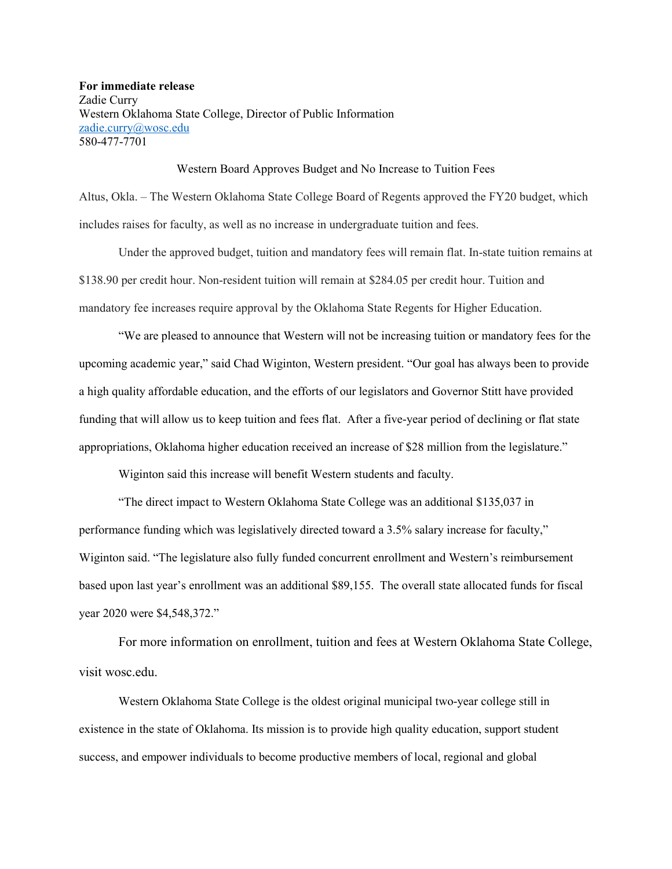**For immediate release** Zadie Curry Western Oklahoma State College, Director of Public Information [zadie.curry@wosc.edu](mailto:zadie.curry@wosc.edu) 580-477-7701

## Western Board Approves Budget and No Increase to Tuition Fees

Altus, Okla. – The Western Oklahoma State College Board of Regents approved the FY20 budget, which includes raises for faculty, as well as no increase in undergraduate tuition and fees.

Under the approved budget, tuition and mandatory fees will remain flat. In-state tuition remains at \$138.90 per credit hour. Non-resident tuition will remain at \$284.05 per credit hour. Tuition and mandatory fee increases require approval by the Oklahoma State Regents for Higher Education.

"We are pleased to announce that Western will not be increasing tuition or mandatory fees for the upcoming academic year," said Chad Wiginton, Western president. "Our goal has always been to provide a high quality affordable education, and the efforts of our legislators and Governor Stitt have provided funding that will allow us to keep tuition and fees flat. After a five-year period of declining or flat state appropriations, Oklahoma higher education received an increase of \$28 million from the legislature."

Wiginton said this increase will benefit Western students and faculty.

"The direct impact to Western Oklahoma State College was an additional \$135,037 in performance funding which was legislatively directed toward a 3.5% salary increase for faculty," Wiginton said. "The legislature also fully funded concurrent enrollment and Western's reimbursement based upon last year's enrollment was an additional \$89,155. The overall state allocated funds for fiscal year 2020 were \$4,548,372."

For more information on enrollment, tuition and fees at Western Oklahoma State College, visit wosc.edu.

Western Oklahoma State College is the oldest original municipal two-year college still in existence in the state of Oklahoma. Its mission is to provide high quality education, support student success, and empower individuals to become productive members of local, regional and global